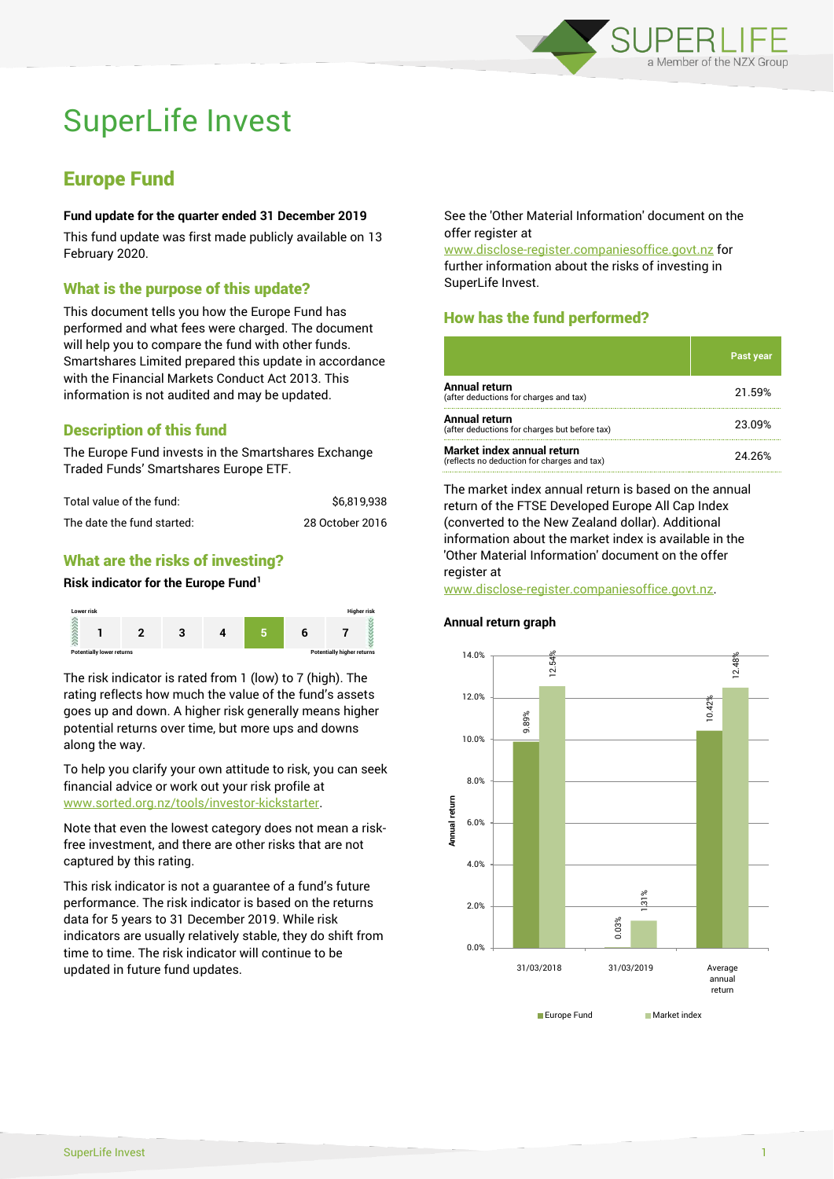

# SuperLife Invest

# Europe Fund

#### **Fund update for the quarter ended 31 December 2019**

This fund update was first made publicly available on 13 February 2020.

## What is the purpose of this update?

This document tells you how the Europe Fund has performed and what fees were charged. The document will help you to compare the fund with other funds. Smartshares Limited prepared this update in accordance with the Financial Markets Conduct Act 2013. This information is not audited and may be updated.

# Description of this fund

The Europe Fund invests in the Smartshares Exchange Traded Funds' Smartshares Europe ETF.

| Total value of the fund:   | \$6.819.938     |  |
|----------------------------|-----------------|--|
| The date the fund started: | 28 October 2016 |  |

## What are the risks of investing?

#### **Risk indicator for the Europe Fund<sup>1</sup>**



The risk indicator is rated from 1 (low) to 7 (high). The rating reflects how much the value of the fund's assets goes up and down. A higher risk generally means higher potential returns over time, but more ups and downs along the way.

To help you clarify your own attitude to risk, you can seek financial advice or work out your risk profile at [www.sorted.org.nz/tools/investor-kickstarter.](http://www.sorted.org.nz/tools/investor-kickstarter)

Note that even the lowest category does not mean a riskfree investment, and there are other risks that are not captured by this rating.

This risk indicator is not a guarantee of a fund's future performance. The risk indicator is based on the returns data for 5 years to 31 December 2019. While risk indicators are usually relatively stable, they do shift from time to time. The risk indicator will continue to be updated in future fund updates.

See the 'Other Material Information' document on the offer register at

www.disclose-register.companiesoffice.govt.nz for further information about the risks of investing in SuperLife Invest.

# How has the fund performed?

|                                                                           | <b>Past year</b> |
|---------------------------------------------------------------------------|------------------|
| <b>Annual return</b><br>(after deductions for charges and tax)            | 21.59%           |
| Annual return<br>(after deductions for charges but before tax)            | 23.09%           |
| Market index annual return<br>(reflects no deduction for charges and tax) | 24.26%           |

The market index annual return is based on the annual return of the FTSE Developed Europe All Cap Index (converted to the New Zealand dollar). Additional information about the market index is available in the 'Other Material Information' document on the offer register at

www.disclose-register.companiesoffice.govt.nz.

# **Annual return graph**

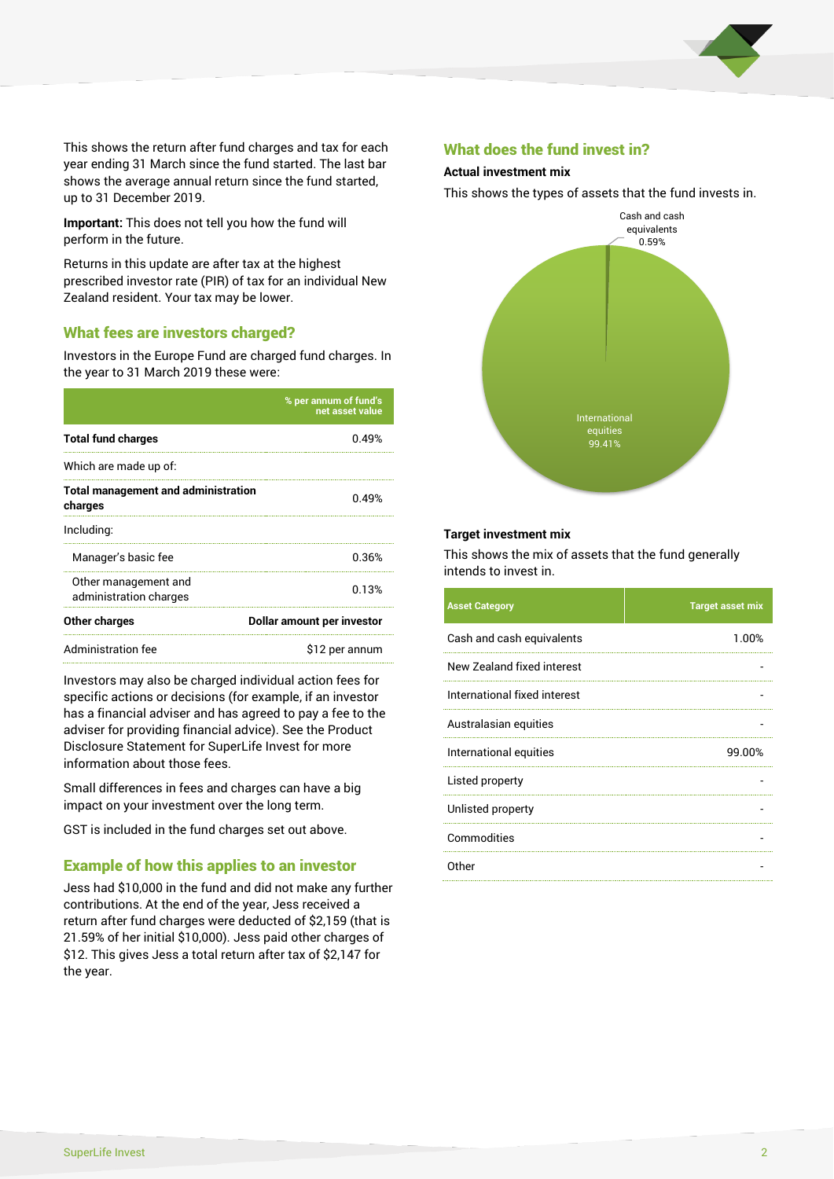

This shows the return after fund charges and tax for each year ending 31 March since the fund started. The last bar shows the average annual return since the fund started, up to 31 December 2019.

**Important:** This does not tell you how the fund will perform in the future.

Returns in this update are after tax at the highest prescribed investor rate (PIR) of tax for an individual New Zealand resident. Your tax may be lower.

#### What fees are investors charged?

Investors in the Europe Fund are charged fund charges. In the year to 31 March 2019 these were:

|                                                       | % per annum of fund's<br>net asset value |  |
|-------------------------------------------------------|------------------------------------------|--|
| <b>Total fund charges</b>                             | 0.49%                                    |  |
| Which are made up of:                                 |                                          |  |
| <b>Total management and administration</b><br>charges | 0.49%                                    |  |
| Including:                                            |                                          |  |
| Manager's basic fee                                   | 0.36%                                    |  |
| Other management and<br>administration charges        | 0.13%                                    |  |
| Other charges                                         | Dollar amount per investor               |  |
| Administration fee                                    | \$12 per annum                           |  |

Investors may also be charged individual action fees for specific actions or decisions (for example, if an investor has a financial adviser and has agreed to pay a fee to the adviser for providing financial advice). See the Product Disclosure Statement for SuperLife Invest for more information about those fees.

Small differences in fees and charges can have a big impact on your investment over the long term.

GST is included in the fund charges set out above.

#### Example of how this applies to an investor

Jess had \$10,000 in the fund and did not make any further contributions. At the end of the year, Jess received a return after fund charges were deducted of \$2,159 (that is 21.59% of her initial \$10,000). Jess paid other charges of \$12. This gives Jess a total return after tax of \$2,147 for the year.

#### What does the fund invest in?

#### **Actual investment mix**

This shows the types of assets that the fund invests in.



#### **Target investment mix**

This shows the mix of assets that the fund generally intends to invest in.

| <b>Asset Category</b>        | <b>Target asset mix</b> |
|------------------------------|-------------------------|
| Cash and cash equivalents    | 1.00%                   |
| New Zealand fixed interest   |                         |
| International fixed interest |                         |
| Australasian equities        |                         |
| International equities       | 99.00%                  |
| Listed property              |                         |
| Unlisted property            |                         |
| Commodities                  |                         |
| Other                        |                         |